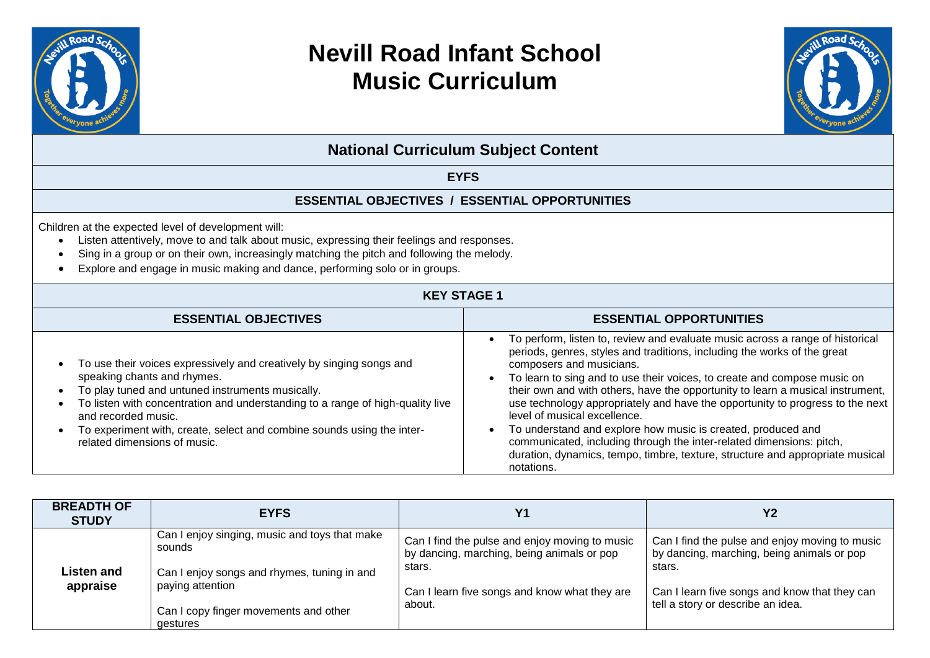



**National Curriculum Subject Content**

#### **EYFS**

#### **ESSENTIAL OBJECTIVES / ESSENTIAL OPPORTUNITIES**

Children at the expected level of development will:

- Listen attentively, move to and talk about music, expressing their feelings and responses.
- Sing in a group or on their own, increasingly matching the pitch and following the melody.
- Explore and engage in music making and dance, performing solo or in groups.

#### **KEY STAGE 1**

| <b>ESSENTIAL OBJECTIVES</b>                                                                                                                                                                                                                                                                                                                                                | <b>ESSENTIAL OPPORTUNITIES</b>                                                                                                                                                                                                                                                                                                                                                                                                                                                                                                                                                                                                                                                                              |
|----------------------------------------------------------------------------------------------------------------------------------------------------------------------------------------------------------------------------------------------------------------------------------------------------------------------------------------------------------------------------|-------------------------------------------------------------------------------------------------------------------------------------------------------------------------------------------------------------------------------------------------------------------------------------------------------------------------------------------------------------------------------------------------------------------------------------------------------------------------------------------------------------------------------------------------------------------------------------------------------------------------------------------------------------------------------------------------------------|
| To use their voices expressively and creatively by singing songs and<br>speaking chants and rhymes.<br>To play tuned and untuned instruments musically.<br>To listen with concentration and understanding to a range of high-quality live<br>and recorded music.<br>To experiment with, create, select and combine sounds using the inter-<br>related dimensions of music. | To perform, listen to, review and evaluate music across a range of historical<br>periods, genres, styles and traditions, including the works of the great<br>composers and musicians.<br>To learn to sing and to use their voices, to create and compose music on<br>their own and with others, have the opportunity to learn a musical instrument,<br>use technology appropriately and have the opportunity to progress to the next<br>level of musical excellence.<br>To understand and explore how music is created, produced and<br>communicated, including through the inter-related dimensions: pitch,<br>duration, dynamics, tempo, timbre, texture, structure and appropriate musical<br>notations. |

| <b>BREADTH OF</b><br><b>STUDY</b> | <b>EYFS</b>                                                                                                                | Y <sub>1</sub>                                                                                                                                                    | <b>Y2</b>                                                                                                                                                                                    |
|-----------------------------------|----------------------------------------------------------------------------------------------------------------------------|-------------------------------------------------------------------------------------------------------------------------------------------------------------------|----------------------------------------------------------------------------------------------------------------------------------------------------------------------------------------------|
| Listen and<br>appraise            | Can I enjoy singing, music and toys that make<br>sounds<br>Can I enjoy songs and rhymes, tuning in and<br>paying attention | Can I find the pulse and enjoy moving to music<br>by dancing, marching, being animals or pop<br>stars.<br>Can I learn five songs and know what they are<br>about. | Can I find the pulse and enjoy moving to music<br>by dancing, marching, being animals or pop<br>stars.<br>Can I learn five songs and know that they can<br>tell a story or describe an idea. |
|                                   | Can I copy finger movements and other<br>gestures                                                                          |                                                                                                                                                                   |                                                                                                                                                                                              |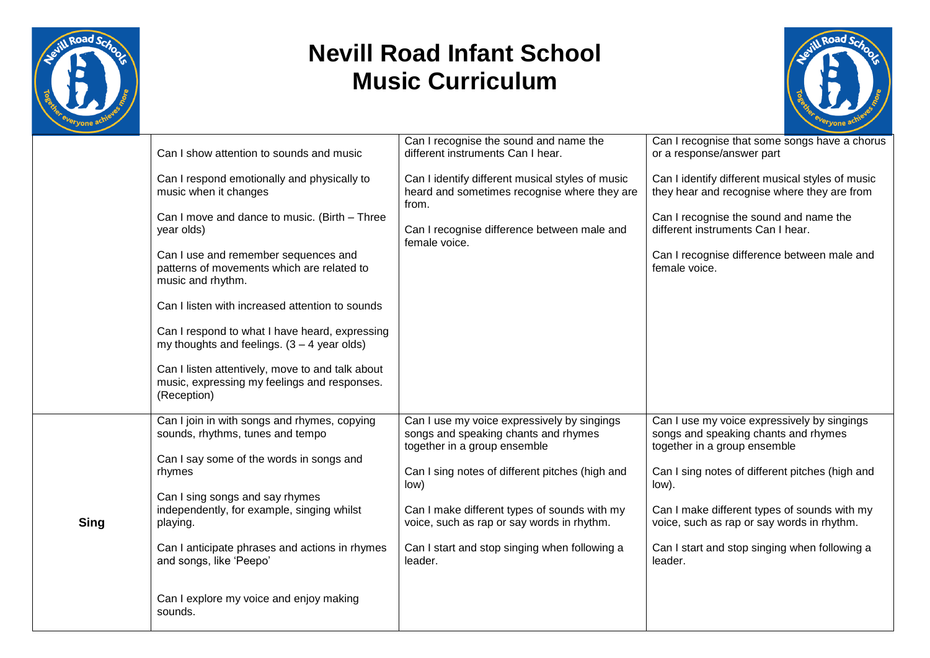



|             | Can I show attention to sounds and music                                                                        | Can I recognise the sound and name the<br>different instruments Can I hear.                                         | Can I recognise that some songs have a chorus<br>or a response/answer part                                          |
|-------------|-----------------------------------------------------------------------------------------------------------------|---------------------------------------------------------------------------------------------------------------------|---------------------------------------------------------------------------------------------------------------------|
|             | Can I respond emotionally and physically to<br>music when it changes                                            | Can I identify different musical styles of music<br>heard and sometimes recognise where they are<br>from.           | Can I identify different musical styles of music<br>they hear and recognise where they are from                     |
|             | Can I move and dance to music. (Birth - Three<br>year olds)                                                     | Can I recognise difference between male and<br>female voice.                                                        | Can I recognise the sound and name the<br>different instruments Can I hear.                                         |
|             | Can I use and remember sequences and<br>patterns of movements which are related to<br>music and rhythm.         |                                                                                                                     | Can I recognise difference between male and<br>female voice.                                                        |
|             | Can I listen with increased attention to sounds                                                                 |                                                                                                                     |                                                                                                                     |
|             | Can I respond to what I have heard, expressing<br>my thoughts and feelings. $(3 - 4$ year olds)                 |                                                                                                                     |                                                                                                                     |
|             | Can I listen attentively, move to and talk about<br>music, expressing my feelings and responses.<br>(Reception) |                                                                                                                     |                                                                                                                     |
|             | Can I join in with songs and rhymes, copying<br>sounds, rhythms, tunes and tempo                                | Can I use my voice expressively by singings<br>songs and speaking chants and rhymes<br>together in a group ensemble | Can I use my voice expressively by singings<br>songs and speaking chants and rhymes<br>together in a group ensemble |
|             | Can I say some of the words in songs and<br>rhymes                                                              | Can I sing notes of different pitches (high and<br>low)                                                             | Can I sing notes of different pitches (high and<br>low).                                                            |
| <b>Sing</b> | Can I sing songs and say rhymes<br>independently, for example, singing whilst<br>playing.                       | Can I make different types of sounds with my<br>voice, such as rap or say words in rhythm.                          | Can I make different types of sounds with my<br>voice, such as rap or say words in rhythm.                          |
|             | Can I anticipate phrases and actions in rhymes<br>and songs, like 'Peepo'                                       | Can I start and stop singing when following a<br>leader.                                                            | Can I start and stop singing when following a<br>leader.                                                            |
|             | Can I explore my voice and enjoy making<br>sounds.                                                              |                                                                                                                     |                                                                                                                     |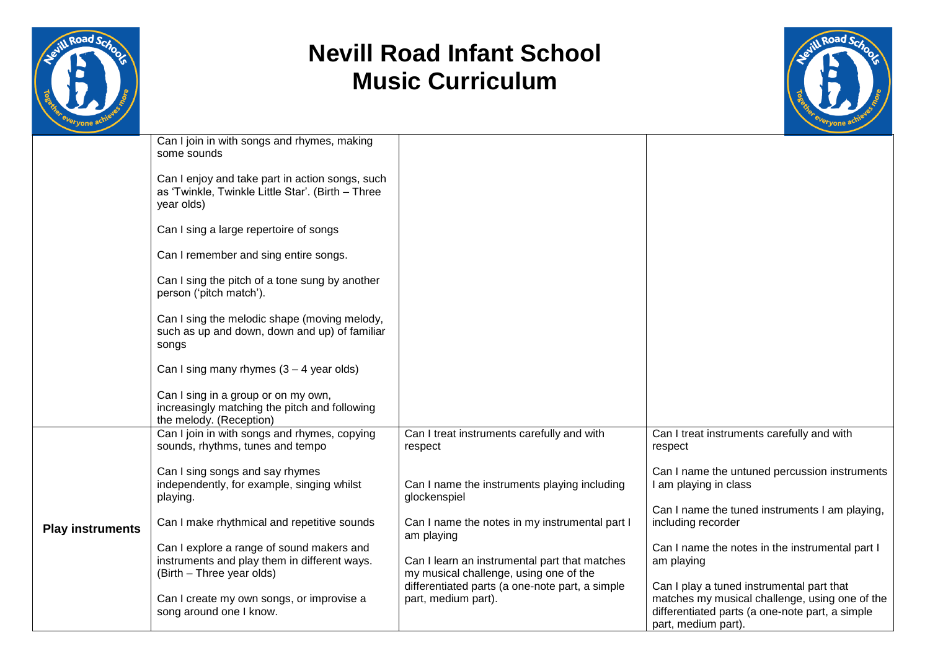



|                         | Can I join in with songs and rhymes, making<br>some sounds                                                             |                                                                                         |                                                                                                                                                                       |  |
|-------------------------|------------------------------------------------------------------------------------------------------------------------|-----------------------------------------------------------------------------------------|-----------------------------------------------------------------------------------------------------------------------------------------------------------------------|--|
|                         | Can I enjoy and take part in action songs, such<br>as 'Twinkle, Twinkle Little Star'. (Birth - Three<br>year olds)     |                                                                                         |                                                                                                                                                                       |  |
|                         | Can I sing a large repertoire of songs                                                                                 |                                                                                         |                                                                                                                                                                       |  |
|                         | Can I remember and sing entire songs.                                                                                  |                                                                                         |                                                                                                                                                                       |  |
|                         | Can I sing the pitch of a tone sung by another<br>person ('pitch match').                                              |                                                                                         |                                                                                                                                                                       |  |
|                         | Can I sing the melodic shape (moving melody,<br>such as up and down, down and up) of familiar<br>songs                 |                                                                                         |                                                                                                                                                                       |  |
|                         | Can I sing many rhymes $(3 - 4$ year olds)                                                                             |                                                                                         |                                                                                                                                                                       |  |
|                         | Can I sing in a group or on my own,<br>increasingly matching the pitch and following<br>the melody. (Reception)        |                                                                                         |                                                                                                                                                                       |  |
|                         | Can I join in with songs and rhymes, copying<br>sounds, rhythms, tunes and tempo                                       | Can I treat instruments carefully and with<br>respect                                   | Can I treat instruments carefully and with<br>respect                                                                                                                 |  |
|                         | Can I sing songs and say rhymes<br>independently, for example, singing whilst<br>playing.                              | Can I name the instruments playing including<br>glockenspiel                            | Can I name the untuned percussion instruments<br>I am playing in class                                                                                                |  |
| <b>Play instruments</b> | Can I make rhythmical and repetitive sounds                                                                            | Can I name the notes in my instrumental part I<br>am playing                            | Can I name the tuned instruments I am playing,<br>including recorder                                                                                                  |  |
|                         | Can I explore a range of sound makers and<br>instruments and play them in different ways.<br>(Birth - Three year olds) | Can I learn an instrumental part that matches<br>my musical challenge, using one of the | Can I name the notes in the instrumental part I<br>am playing                                                                                                         |  |
|                         | Can I create my own songs, or improvise a<br>song around one I know.                                                   | differentiated parts (a one-note part, a simple<br>part, medium part).                  | Can I play a tuned instrumental part that<br>matches my musical challenge, using one of the<br>differentiated parts (a one-note part, a simple<br>part, medium part). |  |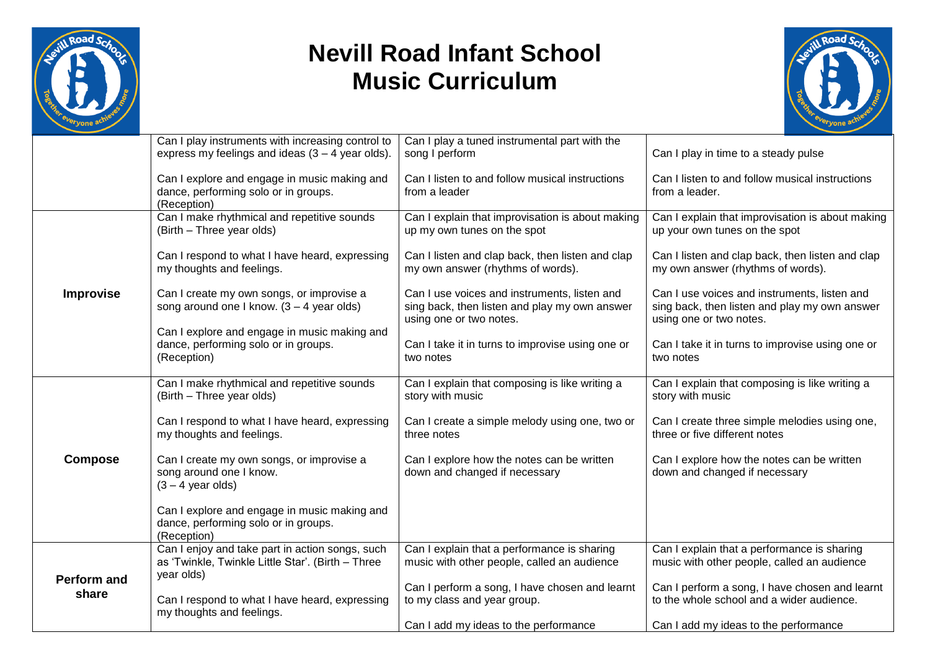



|                             | Can I play instruments with increasing control to<br>express my feelings and ideas $(3 - 4$ year olds).            | Can I play a tuned instrumental part with the<br>song I perform                                                          | Can I play in time to a steady pulse                                                                                     |
|-----------------------------|--------------------------------------------------------------------------------------------------------------------|--------------------------------------------------------------------------------------------------------------------------|--------------------------------------------------------------------------------------------------------------------------|
|                             | Can I explore and engage in music making and<br>dance, performing solo or in groups.<br>(Reception)                | Can I listen to and follow musical instructions<br>from a leader                                                         | Can I listen to and follow musical instructions<br>from a leader.                                                        |
|                             | Can I make rhythmical and repetitive sounds<br>(Birth - Three year olds)                                           | Can I explain that improvisation is about making<br>up my own tunes on the spot                                          | Can I explain that improvisation is about making<br>up your own tunes on the spot                                        |
| <b>Improvise</b>            | Can I respond to what I have heard, expressing<br>my thoughts and feelings.                                        | Can I listen and clap back, then listen and clap<br>my own answer (rhythms of words).                                    | Can I listen and clap back, then listen and clap<br>my own answer (rhythms of words).                                    |
|                             | Can I create my own songs, or improvise a<br>song around one I know. $(3 - 4$ year olds)                           | Can I use voices and instruments, listen and<br>sing back, then listen and play my own answer<br>using one or two notes. | Can I use voices and instruments, listen and<br>sing back, then listen and play my own answer<br>using one or two notes. |
|                             | Can I explore and engage in music making and<br>dance, performing solo or in groups.<br>(Reception)                | Can I take it in turns to improvise using one or<br>two notes                                                            | Can I take it in turns to improvise using one or<br>two notes                                                            |
|                             | Can I make rhythmical and repetitive sounds<br>(Birth - Three year olds)                                           | Can I explain that composing is like writing a<br>story with music                                                       | Can I explain that composing is like writing a<br>story with music                                                       |
|                             | Can I respond to what I have heard, expressing<br>my thoughts and feelings.                                        | Can I create a simple melody using one, two or<br>three notes                                                            | Can I create three simple melodies using one,<br>three or five different notes                                           |
| <b>Compose</b>              | Can I create my own songs, or improvise a<br>song around one I know.<br>$(3 - 4$ year olds)                        | Can I explore how the notes can be written<br>down and changed if necessary                                              | Can I explore how the notes can be written<br>down and changed if necessary                                              |
|                             | Can I explore and engage in music making and<br>dance, performing solo or in groups.<br>(Reception)                |                                                                                                                          |                                                                                                                          |
|                             | Can I enjoy and take part in action songs, such<br>as 'Twinkle, Twinkle Little Star'. (Birth - Three<br>year olds) | Can I explain that a performance is sharing<br>music with other people, called an audience                               | Can I explain that a performance is sharing<br>music with other people, called an audience                               |
| <b>Perform and</b><br>share | Can I respond to what I have heard, expressing<br>my thoughts and feelings.                                        | Can I perform a song, I have chosen and learnt<br>to my class and year group.                                            | Can I perform a song, I have chosen and learnt<br>to the whole school and a wider audience.                              |
|                             |                                                                                                                    | Can I add my ideas to the performance                                                                                    | Can I add my ideas to the performance                                                                                    |